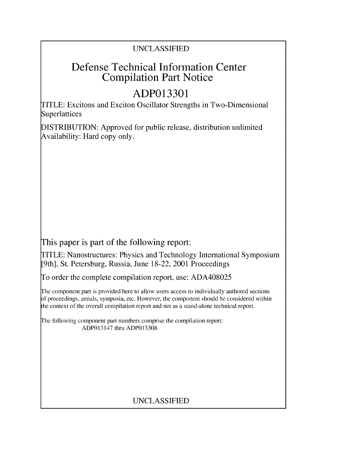## UNCLASSIFIED

# Defense Technical Information Center Compilation Part Notice

# **ADP013301**

TITLE: Excitons and Exciton Oscillator Strengths in Two-Dimensional Superlattices

DISTRIBUTION: Approved for public release, distribution unlimited Availability: Hard copy only.

This paper is part of the following report:

TITLE: Nanostructures: Physics and Technology International Symposium [9th], St. Petersburg, Russia, June 18-22, 2001 Proceedings

To order the complete compilation report, use: ADA408025

The component part is provided here to allow users access to individually authored sections f proceedings, annals, symposia, etc. However, the component should be considered within the context of the overall compilation report and not as a stand-alone technical report.

The following component part numbers comprise the compilation report: ADP013147 thru ADP013308

## UNCLASSIFIED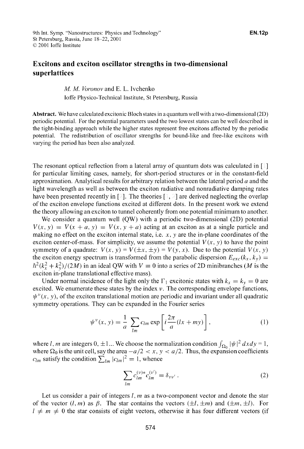### Excitons and exciton oscillator strengths in two-dimensional superlattices

### *M. M. Voronov* and E. L. Ivchenko loffe Physico-Technical Institute, St Petersburg, Russia

Abstract. We have calculated excitonic Bloch states in a quantum well with a two-dimensional (2D) periodic potential. For the potential parameters used the two lowest states can be well described in the tight-binding approach while the higher states represent free excitons affected by the periodic potential. The redistribution of oscillator strengths for bound-like and free-like excitons with varying the period has been also analyzed.

The resonant optical reflection from a lateral array of quantum dots was calculated in  $\lceil \cdot \rceil$ for particular limiting cases, namely, for short-period structures or in the constant-field approximation. Analytical results for arbitrary relation between the lateral period  $a$  and the light wavelength as well as between the exciton radiative and nonradiative damping rates have been presented recently in  $[2]$ . The theories  $[1, 2]$  are derived neglecting the overlap of the exciton envelope functions excited at different dots. In the present work we extend the theory allowing an exciton to tunnel coherently from one potential minimum to another.

We consider a quantum well (QW) with a periodic two-dimensional (2D) potential  $V(x, y) = V(x + a, y) = V(x, y + a)$  acting at an exciton as at a single particle and making no effect on the exciton internal state, i.e.  $x$ ,  $y$  are the in-plane coordinates of the exciton center-of-mass. For simplicity, we assume the potential  $V(x, y)$  to have the point symmetry of a quadrate:  $V(x, y) = V(\pm x, \pm y) = V(y, x)$ . Due to the potential  $V(x, y)$ the exciton energy spectrum is transformed from the parabolic dispersion  $E_{exc}(k_x, k_y)$  =  $\hbar^2 (k_x^2 + k_y^2)/(2M)$  in an ideal QW with  $V = 0$  into a series of 2D minibranches (M is the exciton in-plane translational effective mass).

Under normal incidence of the light only the  $\Gamma_1$  excitonic states with  $k_x = k_y = 0$  are excited. We enumerate these states by the index  $\nu$ . The corresponding envelope functions,  $\psi^{\nu}(x, y)$ , of the exciton translational motion are periodic and invariant under all quadratic symmetry operations. They can be expanded in the Fourier series

$$
\psi^{\nu}(x, y) = \frac{1}{a} \sum_{lm} c_{lm} \exp\left[i\frac{2\pi}{a}(lx + my)\right],
$$
 (1)

where *l*, *m* are integers 0,  $\pm 1$ ... We choose the normalization condition  $\int_{\Omega_0} |\psi|^2 dx dy = 1$ , where  $\Omega_0$  is the unit cell, say the area  $-a/2 < x$ ,  $y < a/2$ . Thus, the expansion coefficients  $c_{lm}$  satisfy the condition  $\sum_{lm} |c_{lm}|^2 = 1$ , whence

$$
\sum_{lm} c_{lm}^{(\nu)*} c_{lm}^{(\nu')} = \delta_{\nu\nu'}.
$$
 (2)

Let us consider a pair of integers l, m as a two-component vector and denote the star of the vector  $(l, m)$  as  $\beta$ . The star contains the vectors  $(\pm l, \pm m)$  and  $(\pm m, \pm l)$ . For  $l \neq m \neq 0$  the star consists of eight vectors, otherwise it has four different vectors (if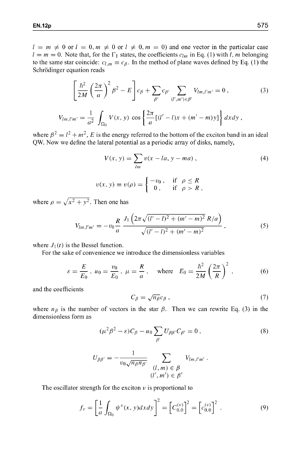$l = m \neq 0$  or  $l = 0, m \neq 0$  or  $l \neq 0, m = 0$  and one vector in the particular case  $l = m = 0$ . Note that, for the  $\Gamma_1$  states, the coefficients  $c_{lm}$  in Eq. (1) with l, m belonging to the same star coincide:  $c_{l,m} \equiv c_{\beta}$ . In the method of plane waves defined by Eq. (1) the Schrödinger equation reads

$$
\left[\frac{\hbar^2}{2M}\left(\frac{2\pi}{a}\right)^2\beta^2 - E\right]c_{\beta} + \sum_{\beta'}c_{\beta'}\sum_{(l',m')\in\beta'}V_{lm,l'm'} = 0,
$$
\n(3)\n
$$
V_{lm,l'm'} = \frac{1}{a^2}\int_{\Omega_0}V(x,y)\cos\left\{\frac{2\pi}{a}[(l'-l)x + (m'-m)y]\right\}dxdy,
$$

where  $\beta^2 = l^2 + m^2$ , E is the energy referred to the bottom of the exciton band in an ideal QW. Now we define the lateral potential as a periodic array of disks, namely,

$$
V(x, y) = \sum_{lm} v(x - la, y - ma),
$$
  
\n
$$
v(x, y) \equiv v(\rho) = \begin{cases} -v_0, & \text{if } \rho \le R \\ 0, & \text{if } \rho > R, \end{cases}
$$
 (4)

where  $\rho = \sqrt{x^2 + y^2}$ . Then one has

$$
V_{lm,l'm'} = -v_0 \frac{R}{a} \frac{J_1 \left(2\pi\sqrt{(l'-l)^2 + (m'-m)^2} R/a\right)}{\sqrt{(l'-l)^2 + (m'-m)^2}} , \qquad (5)
$$

where  $J_1(t)$  is the Bessel function.

For the sake of convenience we introduce the dimensionless variables

$$
\varepsilon = \frac{E}{E_0}
$$
,  $u_0 = \frac{v_0}{E_0}$ ,  $\mu = \frac{R}{a}$ , where  $E_0 = \frac{\hbar^2}{2M} \left(\frac{2\pi}{R}\right)^2$ , (6)

and the coefficients

$$
C_{\beta} = \sqrt{n_{\beta}} c_{\beta} \,,\tag{7}
$$

where  $n_{\beta}$  is the number of vectors in the star  $\beta$ . Then we can rewrite Eq. (3) in the dimensionless form as

$$
(\mu^2 \beta^2 - \varepsilon) C_{\beta} - u_0 \sum_{\beta'} U_{\beta \beta'} C_{\beta'} = 0, \qquad (8)
$$

$$
U_{\beta\beta'} = -\frac{1}{v_0\sqrt{n_{\beta}n_{\beta'}}}\sum_{\substack{(l, m) \in \beta \\ (l', m') \in \beta'}} V_{lm,l'm'}.
$$

The oscillator strength for the exciton  $\nu$  is proportional to

$$
f_{\nu} = \left[\frac{1}{a} \int_{\Omega_0} \psi^{\nu}(x, y) dx dy\right]^2 = \left[C_{0,0}^{(\nu)}\right]^2 = \left[c_{0,0}^{(\nu)}\right]^2.
$$
 (9)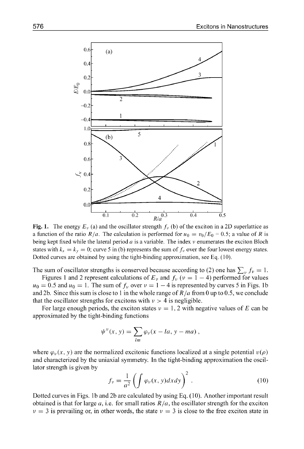

**Fig. 1.** The energy  $E_y$  (a) and the oscillator strength  $f_y$  (b) of the exciton in a 2D superlattice as a function of the ratio  $R/a$ . The calculation is performed for  $u_0 = v_0/E_0 = 0.5$ ; a value of *R* is being kept fixed while the lateral period  $a$  is a variable. The index  $\nu$  enumerates the exciton Bloch states with  $k_x = k_y = 0$ ; curve 5 in (b) represents the sum of  $f_y$  over the four lowest energy states. Dotted curves are obtained by using the tight-binding approximation, see Eq. (10).

The sum of oscillator strengths is conserved because according to (2) one has  $\sum_{v} f_v = 1$ .

Figures 1 and 2 represent calculations of  $E_v$  and  $f_v$  ( $v = 1 - 4$ ) performed for values  $u_0 = 0.5$  and  $u_0 = 1$ . The sum of  $f_v$  over  $v = 1 - 4$  is represented by curves 5 in Figs. 1b and 2b. Since this sum is close to 1 in the whole range of *R/a* from 0 up to 0.5, we conclude that the oscillator strengths for excitons with  $v > 4$  is negligible.

For large enough periods, the exciton states  $v = 1, 2$  with negative values of E can be approximated by the tight-binding functions

$$
\psi^{\nu}(x, y) = \sum_{lm} \varphi_{\nu}(x - la, y - ma),
$$

where  $\varphi_{\nu}(x, y)$  are the normalized excitonic functions localized at a single potential  $\nu(\rho)$ and characterized by the uniaxial symmetry. In the tight-binding approximation the oscillator strength is given by

$$
f_{\nu} = \frac{1}{a^2} \left( \int \varphi_{\nu}(x, y) dx dy \right)^2.
$$
 (10)

Dotted curves in Figs. 1b and 2b are calculated by using Eq. (10). Another important result obtained is that for large a, i.e. for small ratios  $R/a$ , the oscillator strength for the exciton  $\nu = 3$  is prevailing or, in other words, the state  $\nu = 3$  is close to the free exciton state in